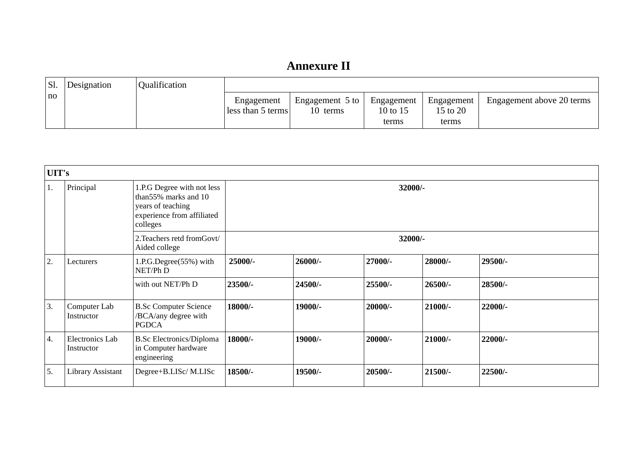| Sl. | Designation | Qualification |                                 |                                       |                                 |                                 |                           |
|-----|-------------|---------------|---------------------------------|---------------------------------------|---------------------------------|---------------------------------|---------------------------|
| no  |             |               | Engagement<br>less than 5 terms | Engagement $5$ to $\vert$<br>10 terms | Engagement<br>10 to 15<br>terms | Engagement<br>15 to 20<br>terms | Engagement above 20 terms |

| UIT's            |                               |                                                                                                                   |         |         |         |           |         |  |  |  |
|------------------|-------------------------------|-------------------------------------------------------------------------------------------------------------------|---------|---------|---------|-----------|---------|--|--|--|
| 1.               | Principal                     | 1.P.G Degree with not less<br>than55% marks and 10<br>years of teaching<br>experience from affiliated<br>colleges | 32000/- |         |         |           |         |  |  |  |
|                  |                               | 2. Teachers retd from Govt/<br>Aided college                                                                      | 32000/- |         |         |           |         |  |  |  |
| $\overline{2}$ . | Lecturers                     | 1.P.G.Degree(55%) with<br>NET/Ph D                                                                                | 25000/- | 26000/- | 27000/- | 28000/-   | 29500/- |  |  |  |
|                  |                               | with out NET/Ph D                                                                                                 | 23500/- | 24500/- | 25500/- | 26500/-   | 28500/- |  |  |  |
| 3.               | Computer Lab<br>Instructor    | <b>B.Sc Computer Science</b><br>/BCA/any degree with<br><b>PGDCA</b>                                              | 18000/- | 19000/- | 20000/- | $21000/-$ | 22000/- |  |  |  |
| 4.               | Electronics Lab<br>Instructor | <b>B.Sc Electronics/Diploma</b><br>in Computer hardware<br>engineering                                            | 18000/- | 19000/- | 20000/- | $21000/-$ | 22000/- |  |  |  |
| 5.               | <b>Library Assistant</b>      | Degree+B.LISc/M.LISc                                                                                              | 18500/- | 19500/- | 20500/- | 21500/-   | 22500/- |  |  |  |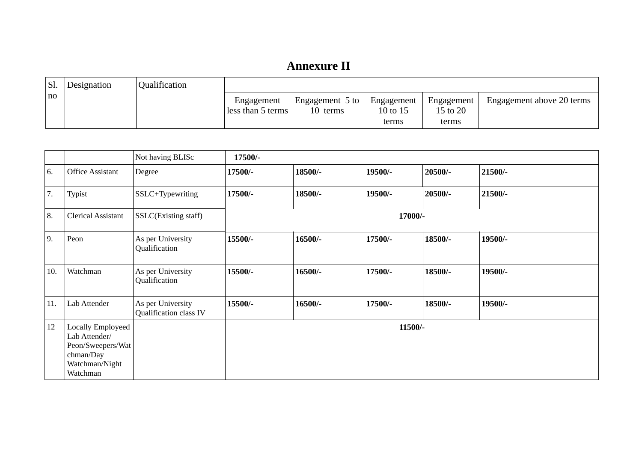| Sl.  | Designation | <b>Qualification</b> |                                 |                             |                                 |                                 |                           |
|------|-------------|----------------------|---------------------------------|-----------------------------|---------------------------------|---------------------------------|---------------------------|
| l no |             |                      | Engagement<br>less than 5 terms | Engagement 5 to<br>10 terms | Engagement<br>10 to 15<br>terms | Engagement<br>15 to 20<br>terms | Engagement above 20 terms |

|     |                                                                                                           | Not having BLISc                            | 17500/- |         |         |         |         |  |
|-----|-----------------------------------------------------------------------------------------------------------|---------------------------------------------|---------|---------|---------|---------|---------|--|
| 6.  | <b>Office Assistant</b>                                                                                   | Degree                                      | 17500/- | 18500/- | 19500/- | 20500/- | 21500/- |  |
| 7.  | <b>Typist</b>                                                                                             | SSLC+Typewriting                            | 17500/- | 18500/- | 19500/- | 20500/- | 21500/- |  |
| 8.  | <b>Clerical Assistant</b>                                                                                 | SSLC(Existing staff)                        | 17000/- |         |         |         |         |  |
| 9.  | Peon                                                                                                      | As per University<br>Qualification          | 15500/- | 16500/- | 17500/- | 18500/- | 19500/- |  |
| 10. | Watchman                                                                                                  | As per University<br>Qualification          | 15500/- | 16500/- | 17500/- | 18500/- | 19500/- |  |
| 11. | Lab Attender                                                                                              | As per University<br>Qualification class IV | 15500/- | 16500/- | 17500/- | 18500/- | 19500/- |  |
| 12  | <b>Locally Employeed</b><br>Lab Attender/<br>Peon/Sweepers/Wat<br>chman/Day<br>Watchman/Night<br>Watchman |                                             |         |         | 11500/- |         |         |  |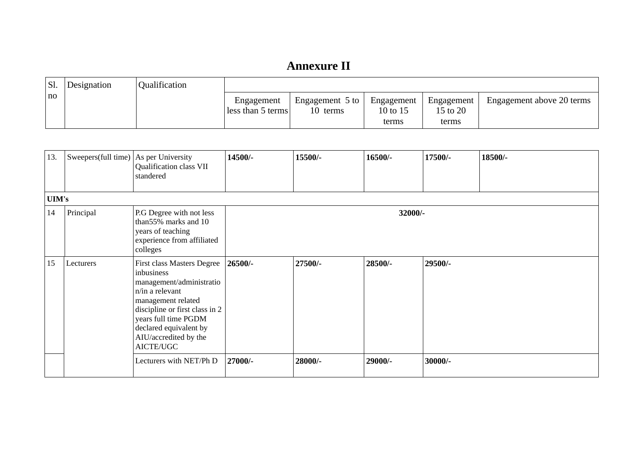| 'Sl. | Designation | Qualification |                                 |                                       |                                 |                                 |                           |
|------|-------------|---------------|---------------------------------|---------------------------------------|---------------------------------|---------------------------------|---------------------------|
| l no |             |               | Engagement<br>less than 5 terms | Engagement $5$ to $\vert$<br>10 terms | Engagement<br>10 to 15<br>terms | Engagement<br>15 to 20<br>terms | Engagement above 20 terms |

| 13.          | Sweepers(full time) $ As$ per University | Qualification class VII<br>standered                                                                                                                                                                                                    | 14500/- | 15500/- | 16500/- | 17500/- | 18500/- |
|--------------|------------------------------------------|-----------------------------------------------------------------------------------------------------------------------------------------------------------------------------------------------------------------------------------------|---------|---------|---------|---------|---------|
| <b>UIM's</b> |                                          |                                                                                                                                                                                                                                         |         |         |         |         |         |
| 14           | Principal                                | P.G Degree with not less<br>than55% marks and 10<br>years of teaching<br>experience from affiliated<br>colleges                                                                                                                         |         |         | 32000/- |         |         |
| 15           | Lecturers                                | First class Masters Degree<br>inbusiness<br>management/administratio<br>n/in a relevant<br>management related<br>discipline or first class in 2<br>years full time PGDM<br>declared equivalent by<br>AIU/accredited by the<br>AICTE/UGC | 26500/- | 27500/- | 28500/- | 29500/- |         |
|              |                                          | Lecturers with NET/Ph D                                                                                                                                                                                                                 | 27000/- | 28000/- | 29000/- | 30000/- |         |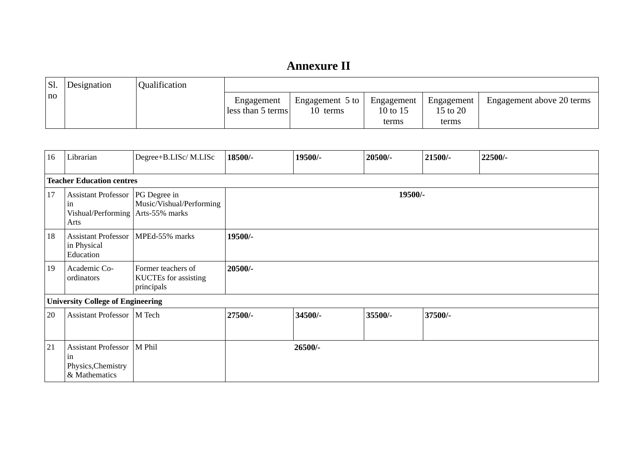| <sup>I</sup> SI. | Designation | Qualification |                                 |                                       |                                 |                                 |                           |
|------------------|-------------|---------------|---------------------------------|---------------------------------------|---------------------------------|---------------------------------|---------------------------|
| no               |             |               | Engagement<br>less than 5 terms | Engagement $5$ to $\vert$<br>10 terms | Engagement<br>10 to 15<br>terms | Engagement<br>15 to 20<br>terms | Engagement above 20 terms |

| 16 | Librarian                                                                              | Degree+B.LISc/M.LISc                                            | 18500/-   | 19500/- | 20500/- | 21500/- | 22500/- |  |
|----|----------------------------------------------------------------------------------------|-----------------------------------------------------------------|-----------|---------|---------|---------|---------|--|
|    | <b>Teacher Education centres</b>                                                       |                                                                 |           |         |         |         |         |  |
| 17 | Assistant Professor   PG Degree in<br>m<br>Vishual/Performing   Arts-55% marks<br>Arts | Music/Vishual/Performing                                        |           | 19500/- |         |         |         |  |
| 18 | <b>Assistant Professor</b><br>in Physical<br>Education                                 | MPEd-55% marks                                                  | 19500/-   |         |         |         |         |  |
| 19 | Academic Co-<br>ordinators                                                             | Former teachers of<br><b>KUCTEs</b> for assisting<br>principals | $20500/-$ |         |         |         |         |  |
|    | <b>University College of Engineering</b>                                               |                                                                 |           |         |         |         |         |  |
| 20 | Assistant Professor   M Tech                                                           |                                                                 | 27500/-   | 34500/- | 35500/- | 37500/- |         |  |
| 21 | Assistant Professor   M Phil<br>in<br>Physics, Chemistry<br>& Mathematics              |                                                                 |           | 26500/- |         |         |         |  |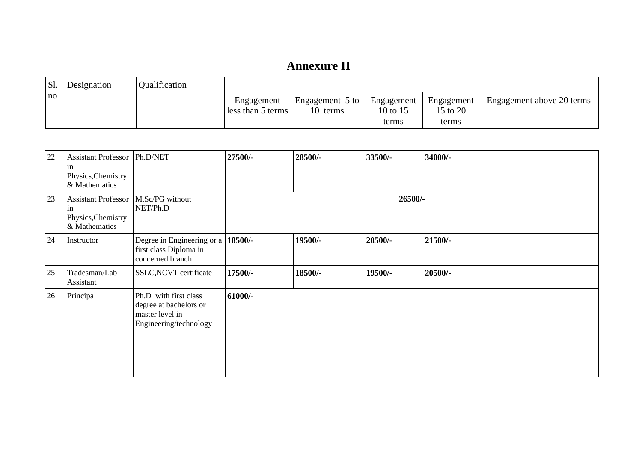| 'Sl. | Designation | Qualification |                                 |                                       |                                 |                                 |                           |
|------|-------------|---------------|---------------------------------|---------------------------------------|---------------------------------|---------------------------------|---------------------------|
| l no |             |               | Engagement<br>less than 5 terms | Engagement $5$ to $\vert$<br>10 terms | Engagement<br>10 to 15<br>terms | Engagement<br>15 to 20<br>terms | Engagement above 20 terms |

| 22 | Assistant Professor   Ph.D/NET<br><sub>in</sub><br>Physics, Chemistry<br>& Mathematics        |                                                                                              | 27500/-   | 28500/- | 33500/- | 34000/- |
|----|-----------------------------------------------------------------------------------------------|----------------------------------------------------------------------------------------------|-----------|---------|---------|---------|
| 23 | Assistant Professor   M.Sc/PG without<br><sub>in</sub><br>Physics, Chemistry<br>& Mathematics | NET/Ph.D                                                                                     | 26500/-   |         |         |         |
| 24 | Instructor                                                                                    | Degree in Engineering or a<br>first class Diploma in<br>concerned branch                     | 18500/-   | 19500/- | 20500/- | 21500/- |
| 25 | Tradesman/Lab<br>Assistant                                                                    | <b>SSLC, NCVT</b> certificate                                                                | 17500/-   | 18500/- | 19500/- | 20500/- |
| 26 | Principal                                                                                     | Ph.D with first class<br>degree at bachelors or<br>master level in<br>Engineering/technology | $61000/-$ |         |         |         |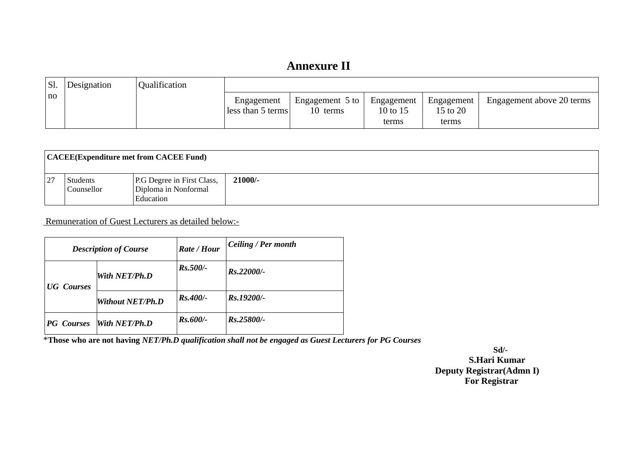| Sl.  | Designation | <b>Qualification</b> |                                 |                                       |                                 |                                 |                           |
|------|-------------|----------------------|---------------------------------|---------------------------------------|---------------------------------|---------------------------------|---------------------------|
| l no |             |                      | Engagement<br>less than 5 terms | Engagement $5$ to $\vert$<br>10 terms | Engagement<br>10 to 15<br>terms | Engagement<br>15 to 20<br>terms | Engagement above 20 terms |

|    | CACEE(Expenditure met from CACEE Fund) |                                                                 |           |  |  |  |
|----|----------------------------------------|-----------------------------------------------------------------|-----------|--|--|--|
| 27 | <b>Students</b><br>Counsellor          | P.G Degree in First Class,<br>Diploma in Nonformal<br>Education | $21000/-$ |  |  |  |

Remuneration of Guest Lecturers as detailed below:-

| <b>Description of Course</b> |                  | Rate / Hour | Ceiling / Per month |  |
|------------------------------|------------------|-------------|---------------------|--|
| <b>UG</b> Courses            | With NET/Ph.D    | $Rs.500/-$  | Rs.22000/-          |  |
|                              | Without NET/Ph.D | $Rs.400/-$  | Rs.19200/-          |  |
| <b>PG</b> Courses            | With $NET/Ph.D$  | $Rs.600/-$  | Rs.25800/-          |  |

\***Those who are not having** *NET/Ph.D qualification shall not be engaged as Guest Lecturers for PG Courses*

 **Sd/- S.Hari Kumar Deputy Registrar(Admn I) For Registrar**